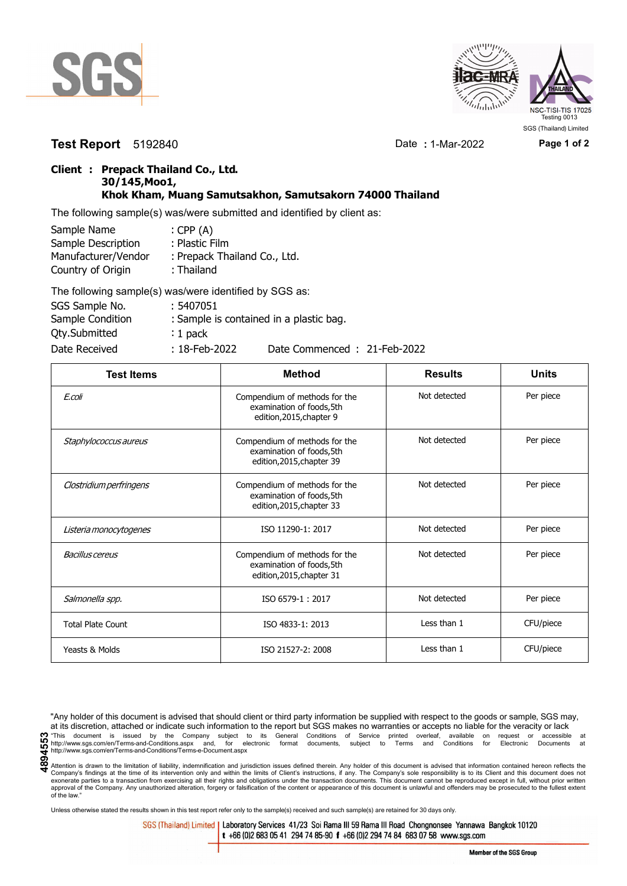



**Test Report** 5192840 Date **:** 1-Mar-2022 **Page 1 of 2**

## **Client : Prepack Thailand Co., Ltd. 30/145,Moo1, Khok Kham, Muang Samutsakhon, Samutsakorn 74000 Thailand**

The following sample(s) was/were submitted and identified by client as:

| Sample Name         | : CPP $(A)$                  |
|---------------------|------------------------------|
| Sample Description  | : Plastic Film               |
| Manufacturer/Vendor | : Prepack Thailand Co., Ltd. |
| Country of Origin   | : Thailand                   |
|                     |                              |

| The following sample(s) was/were identified by SGS as: |                  |                                         |
|--------------------------------------------------------|------------------|-----------------------------------------|
| SGS Sample No.                                         | : 5407051        |                                         |
| Sample Condition                                       |                  | : Sample is contained in a plastic bag. |
| <b>Qty.Submitted</b>                                   | $: 1$ pack       |                                         |
| Date Received                                          | $: 18$ -Feb-2022 | Date Commenced: 21-Feb-2022             |

| <b>Test Items</b>        | <b>Method</b>                                                                           | <b>Results</b> | <b>Units</b> |
|--------------------------|-----------------------------------------------------------------------------------------|----------------|--------------|
| E.coli                   | Compendium of methods for the<br>examination of foods, 5th<br>edition, 2015, chapter 9  | Not detected   | Per piece    |
| Staphylococcus aureus    | Compendium of methods for the<br>examination of foods,5th<br>edition, 2015, chapter 39  | Not detected   | Per piece    |
| Clostridium perfringens  | Compendium of methods for the<br>examination of foods, 5th<br>edition, 2015, chapter 33 | Not detected   | Per piece    |
| Listeria monocytogenes   | ISO 11290-1: 2017                                                                       | Not detected   | Per piece    |
| <b>Bacillus cereus</b>   | Compendium of methods for the<br>examination of foods, 5th<br>edition, 2015, chapter 31 | Not detected   | Per piece    |
| Salmonella spp.          | ISO 6579-1:2017                                                                         | Not detected   | Per piece    |
| <b>Total Plate Count</b> | ISO 4833-1: 2013                                                                        | Less than 1    | CFU/piece    |
| Yeasts & Molds           | ISO 21527-2: 2008                                                                       | Less than 1    | CFU/piece    |

"Any holder of this document is advised that should client or third party information be supplied with respect to the goods or sample, SGS may, at its discretion, attached or indicate such information to the report but SGS makes no warranties or accepts no liable for the veracity or lack 1. This document is issued by the Company subject to its General Conditions of Service printed overleaf, available on request or accessible at the entropy.//www.sgs.com/en/Terms-and-Conditions.aspx and, for electronic form http://www.sgs.com/en/Terms-and-Conditions/Terms-e-Document.aspx

Attention is drawn to the limitation of liability, indemnification and jurisdiction issues defined therein. Any holder of this document is advised that information contained hereon reflects the Company's findings at the time of its intervention only and within the limits of Client's instructions, if any. The Company's sole responsibility is to its Client and this document does not<br>exonerate parties to a transacti approval of the Company. Any unauthorized alteration, forgery or falsification of the content or appearance of this document is unlawful and offenders may be prosecuted to the fullest extent approval of the Company. Any un of the law."

Unless otherwise stated the results shown in this test report refer only to the sample(s) received and such sample(s) are retained for 30 days only.

SGS (Thailand) Limited | Laboratory Services 41/23 Soi Rama III 59 Rama III Road Chongnonsee Yannawa Bangkok 10120 t +66 (0)2 683 05 41 294 74 85-90 f +66 (0)2 294 74 84 683 07 58 www.sgs.com